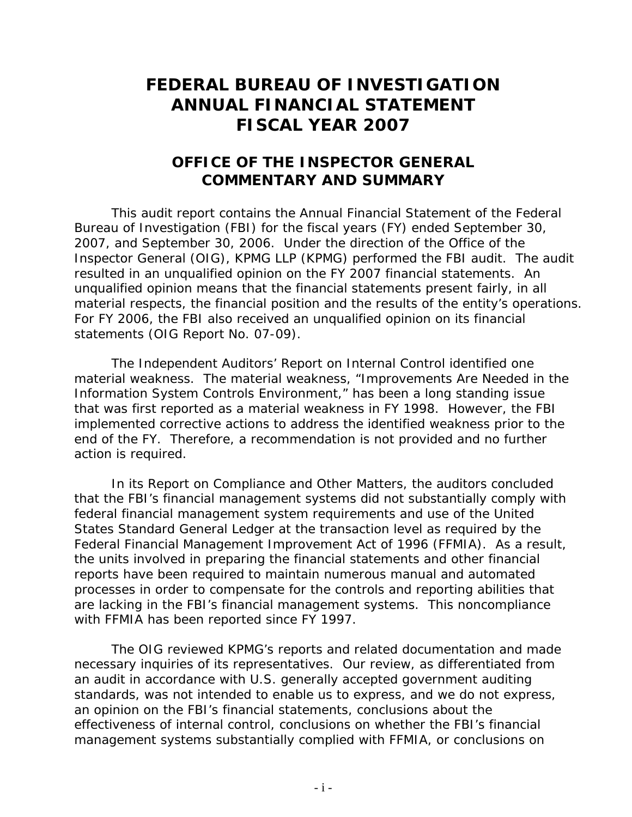## **FEDERAL BUREAU OF INVESTIGATION ANNUAL FINANCIAL STATEMENT FISCAL YEAR 2007**

## **OFFICE OF THE INSPECTOR GENERAL COMMENTARY AND SUMMARY**

This audit report contains the Annual Financial Statement of the Federal Bureau of Investigation (FBI) for the fiscal years (FY) ended September 30, 2007, and September 30, 2006. Under the direction of the Office of the Inspector General (OIG), KPMG LLP (KPMG) performed the FBI audit. The audit resulted in an unqualified opinion on the FY 2007 financial statements. An unqualified opinion means that the financial statements present fairly, in all material respects, the financial position and the results of the entity's operations. For FY 2006, the FBI also received an unqualified opinion on its financial statements (OIG Report No. 07-09).

The Independent Auditors' Report on Internal Control identified one material weakness. The material weakness, "Improvements Are Needed in the Information System Controls Environment," has been a long standing issue that was first reported as a material weakness in FY 1998. However, the FBI implemented corrective actions to address the identified weakness prior to the end of the FY. Therefore, a recommendation is not provided and no further action is required.

In its Report on Compliance and Other Matters, the auditors concluded that the FBI's financial management systems did not substantially comply with federal financial management system requirements and use of the United States Standard General Ledger at the transaction level as required by the Federal Financial Management Improvement Act of 1996 (FFMIA). As a result, the units involved in preparing the financial statements and other financial reports have been required to maintain numerous manual and automated processes in order to compensate for the controls and reporting abilities that are lacking in the FBI's financial management systems. This noncompliance with FFMIA has been reported since FY 1997.

The OIG reviewed KPMG's reports and related documentation and made necessary inquiries of its representatives. Our review, as differentiated from an audit in accordance with U.S. generally accepted government auditing standards, was not intended to enable us to express, and we do not express, an opinion on the FBI's financial statements, conclusions about the effectiveness of internal control, conclusions on whether the FBI's financial management systems substantially complied with FFMIA, or conclusions on